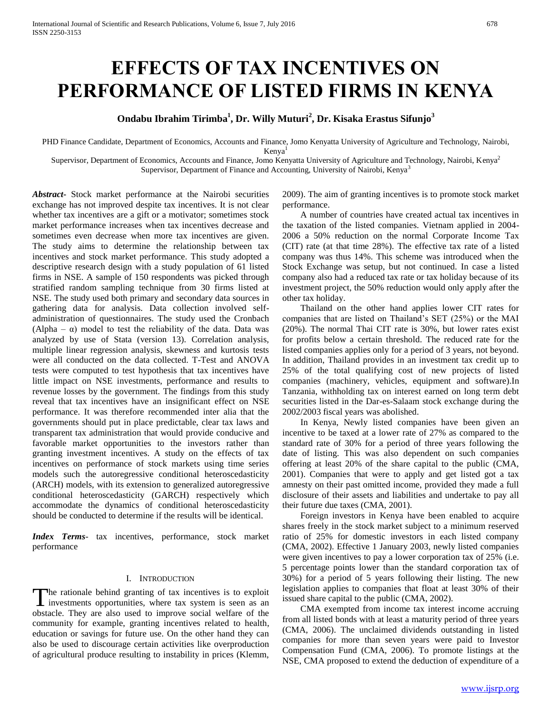# **EFFECTS OF TAX INCENTIVES ON PERFORMANCE OF LISTED FIRMS IN KENYA**

# **Ondabu Ibrahim Tirimba<sup>1</sup> , Dr. Willy Muturi<sup>2</sup> , Dr. Kisaka Erastus Sifunjo<sup>3</sup>**

PHD Finance Candidate, Department of Economics, Accounts and Finance, Jomo Kenyatta University of Agriculture and Technology, Nairobi, Kenya

Supervisor, Department of Economics, Accounts and Finance, Jomo Kenyatta University of Agriculture and Technology, Nairobi, Kenya<sup>2</sup> Supervisor, Department of Finance and Accounting, University of Nairobi, Kenya<sup>3</sup>

*Abstract***-** Stock market performance at the Nairobi securities exchange has not improved despite tax incentives. It is not clear whether tax incentives are a gift or a motivator; sometimes stock market performance increases when tax incentives decrease and sometimes even decrease when more tax incentives are given. The study aims to determine the relationship between tax incentives and stock market performance. This study adopted a descriptive research design with a study population of 61 listed firms in NSE. A sample of 150 respondents was picked through stratified random sampling technique from 30 firms listed at NSE. The study used both primary and secondary data sources in gathering data for analysis. Data collection involved selfadministration of questionnaires. The study used the Cronbach (Alpha –  $\alpha$ ) model to test the reliability of the data. Data was analyzed by use of Stata (version 13). Correlation analysis, multiple linear regression analysis, skewness and kurtosis tests were all conducted on the data collected. T-Test and ANOVA tests were computed to test hypothesis that tax incentives have little impact on NSE investments, performance and results to revenue losses by the government. The findings from this study reveal that tax incentives have an insignificant effect on NSE performance. It was therefore recommended inter alia that the governments should put in place predictable, clear tax laws and transparent tax administration that would provide conducive and favorable market opportunities to the investors rather than granting investment incentives. A study on the effects of tax incentives on performance of stock markets using time series models such the autoregressive conditional heteroscedasticity (ARCH) models, with its extension to generalized autoregressive conditional heteroscedasticity (GARCH) respectively which accommodate the dynamics of conditional heteroscedasticity should be conducted to determine if the results will be identical.

*Index Terms*- tax incentives, performance, stock market performance

#### I. INTRODUCTION

The rationale behind granting of tax incentives is to exploit The rationale behind granting of tax incentives is to exploit investments opportunities, where tax system is seen as an obstacle. They are also used to improve social welfare of the community for example, granting incentives related to health, education or savings for future use. On the other hand they can also be used to discourage certain activities like overproduction of agricultural produce resulting to instability in prices (Klemm,

2009). The aim of granting incentives is to promote stock market performance.

 A number of countries have created actual tax incentives in the taxation of the listed companies. Vietnam applied in 2004- 2006 a 50% reduction on the normal Corporate Income Tax (CIT) rate (at that time 28%). The effective tax rate of a listed company was thus 14%. This scheme was introduced when the Stock Exchange was setup, but not continued. In case a listed company also had a reduced tax rate or tax holiday because of its investment project, the 50% reduction would only apply after the other tax holiday.

 Thailand on the other hand applies lower CIT rates for companies that are listed on Thailand's SET (25%) or the MAI (20%). The normal Thai CIT rate is 30%, but lower rates exist for profits below a certain threshold. The reduced rate for the listed companies applies only for a period of 3 years, not beyond. In addition, Thailand provides in an investment tax credit up to 25% of the total qualifying cost of new projects of listed companies (machinery, vehicles, equipment and software).In Tanzania, withholding tax on interest earned on long term debt securities listed in the Dar-es-Salaam stock exchange during the 2002/2003 fiscal years was abolished.

 In Kenya, Newly listed companies have been given an incentive to be taxed at a lower rate of 27% as compared to the standard rate of 30% for a period of three years following the date of listing. This was also dependent on such companies offering at least 20% of the share capital to the public (CMA, 2001). Companies that were to apply and get listed got a tax amnesty on their past omitted income, provided they made a full disclosure of their assets and liabilities and undertake to pay all their future due taxes (CMA, 2001).

 Foreign investors in Kenya have been enabled to acquire shares freely in the stock market subject to a minimum reserved ratio of 25% for domestic investors in each listed company (CMA, 2002). Effective 1 January 2003, newly listed companies were given incentives to pay a lower corporation tax of 25% (i.e. 5 percentage points lower than the standard corporation tax of 30%) for a period of 5 years following their listing. The new legislation applies to companies that float at least 30% of their issued share capital to the public (CMA, 2002).

 CMA exempted from income tax interest income accruing from all listed bonds with at least a maturity period of three years (CMA, 2006). The unclaimed dividends outstanding in listed companies for more than seven years were paid to Investor Compensation Fund (CMA, 2006). To promote listings at the NSE, CMA proposed to extend the deduction of expenditure of a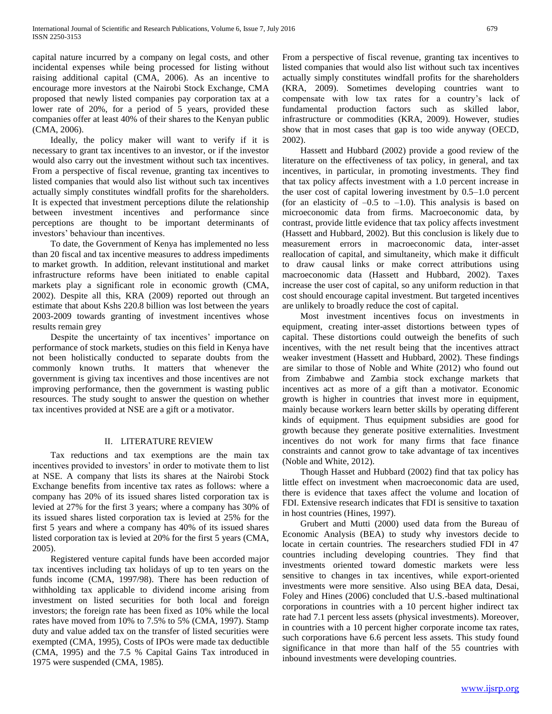capital nature incurred by a company on legal costs, and other incidental expenses while being processed for listing without raising additional capital (CMA, 2006). As an incentive to encourage more investors at the Nairobi Stock Exchange, CMA proposed that newly listed companies pay corporation tax at a lower rate of 20%, for a period of 5 years, provided these companies offer at least 40% of their shares to the Kenyan public (CMA, 2006).

 Ideally, the policy maker will want to verify if it is necessary to grant tax incentives to an investor, or if the investor would also carry out the investment without such tax incentives. From a perspective of fiscal revenue, granting tax incentives to listed companies that would also list without such tax incentives actually simply constitutes windfall profits for the shareholders. It is expected that investment perceptions dilute the relationship between investment incentives and performance since perceptions are thought to be important determinants of investors' behaviour than incentives.

 To date, the Government of Kenya has implemented no less than 20 fiscal and tax incentive measures to address impediments to market growth. In addition, relevant institutional and market infrastructure reforms have been initiated to enable capital markets play a significant role in economic growth (CMA, 2002). Despite all this, KRA (2009) reported out through an estimate that about Kshs 220.8 billion was lost between the years 2003-2009 towards granting of investment incentives whose results remain grey

 Despite the uncertainty of tax incentives' importance on performance of stock markets, studies on this field in Kenya have not been holistically conducted to separate doubts from the commonly known truths. It matters that whenever the government is giving tax incentives and those incentives are not improving performance, then the government is wasting public resources. The study sought to answer the question on whether tax incentives provided at NSE are a gift or a motivator.

#### II. LITERATURE REVIEW

 Tax reductions and tax exemptions are the main tax incentives provided to investors' in order to motivate them to list at NSE. A company that lists its shares at the Nairobi Stock Exchange benefits from incentive tax rates as follows: where a company has 20% of its issued shares listed corporation tax is levied at 27% for the first 3 years; where a company has 30% of its issued shares listed corporation tax is levied at 25% for the first 5 years and where a company has 40% of its issued shares listed corporation tax is levied at 20% for the first 5 years (CMA, 2005).

 Registered venture capital funds have been accorded major tax incentives including tax holidays of up to ten years on the funds income (CMA, 1997/98). There has been reduction of withholding tax applicable to dividend income arising from investment on listed securities for both local and foreign investors; the foreign rate has been fixed as 10% while the local rates have moved from 10% to 7.5% to 5% (CMA, 1997). Stamp duty and value added tax on the transfer of listed securities were exempted (CMA, 1995), Costs of IPOs were made tax deductible (CMA, 1995) and the 7.5 % Capital Gains Tax introduced in 1975 were suspended (CMA, 1985).

From a perspective of fiscal revenue, granting tax incentives to listed companies that would also list without such tax incentives actually simply constitutes windfall profits for the shareholders (KRA, 2009). Sometimes developing countries want to compensate with low tax rates for a country's lack of fundamental production factors such as skilled labor, infrastructure or commodities (KRA, 2009). However, studies show that in most cases that gap is too wide anyway (OECD, 2002).

 Hassett and Hubbard (2002) provide a good review of the literature on the effectiveness of tax policy, in general, and tax incentives, in particular, in promoting investments. They find that tax policy affects investment with a 1.0 percent increase in the user cost of capital lowering investment by 0.5–1.0 percent (for an elasticity of  $-0.5$  to  $-1.0$ ). This analysis is based on microeconomic data from firms. Macroeconomic data, by contrast, provide little evidence that tax policy affects investment (Hassett and Hubbard, 2002). But this conclusion is likely due to measurement errors in macroeconomic data, inter-asset reallocation of capital, and simultaneity, which make it difficult to draw causal links or make correct attributions using macroeconomic data (Hassett and Hubbard, 2002). Taxes increase the user cost of capital, so any uniform reduction in that cost should encourage capital investment. But targeted incentives are unlikely to broadly reduce the cost of capital.

 Most investment incentives focus on investments in equipment, creating inter-asset distortions between types of capital. These distortions could outweigh the benefits of such incentives, with the net result being that the incentives attract weaker investment (Hassett and Hubbard, 2002). These findings are similar to those of Noble and White (2012) who found out from Zimbabwe and Zambia stock exchange markets that incentives act as more of a gift than a motivator. Economic growth is higher in countries that invest more in equipment, mainly because workers learn better skills by operating different kinds of equipment. Thus equipment subsidies are good for growth because they generate positive externalities. Investment incentives do not work for many firms that face finance constraints and cannot grow to take advantage of tax incentives (Noble and White, 2012).

 Though Hasset and Hubbard (2002) find that tax policy has little effect on investment when macroeconomic data are used, there is evidence that taxes affect the volume and location of FDI. Extensive research indicates that FDI is sensitive to taxation in host countries (Hines, 1997).

 Grubert and Mutti (2000) used data from the Bureau of Economic Analysis (BEA) to study why investors decide to locate in certain countries. The researchers studied FDI in 47 countries including developing countries. They find that investments oriented toward domestic markets were less sensitive to changes in tax incentives, while export-oriented investments were more sensitive. Also using BEA data, Desai, Foley and Hines (2006) concluded that U.S.-based multinational corporations in countries with a 10 percent higher indirect tax rate had 7.1 percent less assets (physical investments). Moreover, in countries with a 10 percent higher corporate income tax rates, such corporations have 6.6 percent less assets. This study found significance in that more than half of the 55 countries with inbound investments were developing countries.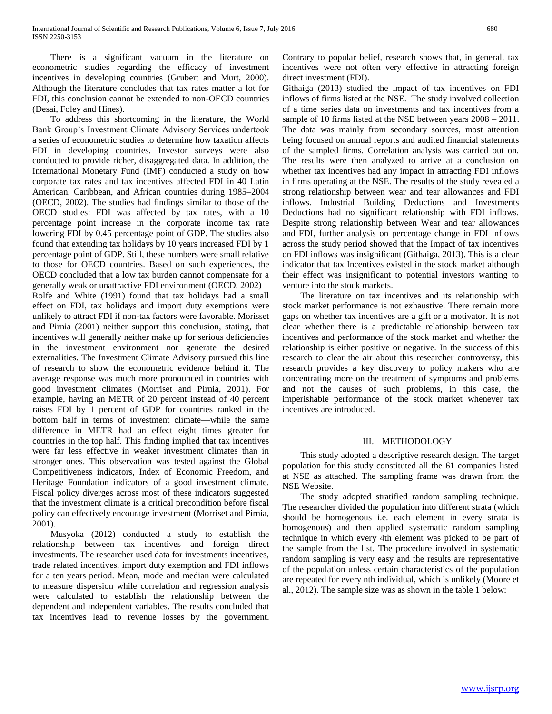There is a significant vacuum in the literature on econometric studies regarding the efficacy of investment incentives in developing countries (Grubert and Murt, 2000). Although the literature concludes that tax rates matter a lot for FDI, this conclusion cannot be extended to non-OECD countries (Desai, Foley and Hines).

 To address this shortcoming in the literature, the World Bank Group's Investment Climate Advisory Services undertook a series of econometric studies to determine how taxation affects FDI in developing countries. Investor surveys were also conducted to provide richer, disaggregated data. In addition, the International Monetary Fund (IMF) conducted a study on how corporate tax rates and tax incentives affected FDI in 40 Latin American, Caribbean, and African countries during 1985–2004 (OECD, 2002). The studies had findings similar to those of the OECD studies: FDI was affected by tax rates, with a 10 percentage point increase in the corporate income tax rate lowering FDI by 0.45 percentage point of GDP. The studies also found that extending tax holidays by 10 years increased FDI by 1 percentage point of GDP. Still, these numbers were small relative to those for OECD countries. Based on such experiences, the OECD concluded that a low tax burden cannot compensate for a generally weak or unattractive FDI environment (OECD, 2002) Rolfe and White (1991) found that tax holidays had a small effect on FDI, tax holidays and import duty exemptions were unlikely to attract FDI if non-tax factors were favorable. Morisset and Pirnia (2001) neither support this conclusion, stating, that incentives will generally neither make up for serious deficiencies in the investment environment nor generate the desired externalities. The Investment Climate Advisory pursued this line of research to show the econometric evidence behind it. The average response was much more pronounced in countries with good investment climates (Morriset and Pirnia, 2001). For example, having an METR of 20 percent instead of 40 percent raises FDI by 1 percent of GDP for countries ranked in the bottom half in terms of investment climate—while the same difference in METR had an effect eight times greater for countries in the top half. This finding implied that tax incentives were far less effective in weaker investment climates than in stronger ones. This observation was tested against the Global Competitiveness indicators, Index of Economic Freedom, and Heritage Foundation indicators of a good investment climate. Fiscal policy diverges across most of these indicators suggested that the investment climate is a critical precondition before fiscal policy can effectively encourage investment (Morriset and Pirnia, 2001).

 Musyoka (2012) conducted a study to establish the relationship between tax incentives and foreign direct investments. The researcher used data for investments incentives, trade related incentives, import duty exemption and FDI inflows for a ten years period. Mean, mode and median were calculated to measure dispersion while correlation and regression analysis were calculated to establish the relationship between the dependent and independent variables. The results concluded that tax incentives lead to revenue losses by the government. Contrary to popular belief, research shows that, in general, tax incentives were not often very effective in attracting foreign direct investment (FDI).

Githaiga (2013) studied the impact of tax incentives on FDI inflows of firms listed at the NSE. The study involved collection of a time series data on investments and tax incentives from a sample of 10 firms listed at the NSE between years 2008 – 2011. The data was mainly from secondary sources, most attention being focused on annual reports and audited financial statements of the sampled firms. Correlation analysis was carried out on. The results were then analyzed to arrive at a conclusion on whether tax incentives had any impact in attracting FDI inflows in firms operating at the NSE. The results of the study revealed a strong relationship between wear and tear allowances and FDI inflows. Industrial Building Deductions and Investments Deductions had no significant relationship with FDI inflows. Despite strong relationship between Wear and tear allowances and FDI, further analysis on percentage change in FDI inflows across the study period showed that the Impact of tax incentives on FDI inflows was insignificant (Githaiga, 2013). This is a clear indicator that tax Incentives existed in the stock market although their effect was insignificant to potential investors wanting to venture into the stock markets.

 The literature on tax incentives and its relationship with stock market performance is not exhaustive. There remain more gaps on whether tax incentives are a gift or a motivator. It is not clear whether there is a predictable relationship between tax incentives and performance of the stock market and whether the relationship is either positive or negative. In the success of this research to clear the air about this researcher controversy, this research provides a key discovery to policy makers who are concentrating more on the treatment of symptoms and problems and not the causes of such problems, in this case, the imperishable performance of the stock market whenever tax incentives are introduced.

#### III. METHODOLOGY

 This study adopted a descriptive research design. The target population for this study constituted all the 61 companies listed at NSE as attached. The sampling frame was drawn from the NSE Website.

 The study adopted stratified random sampling technique. The researcher divided the population into different strata (which should be homogenous i.e. each element in every strata is homogenous) and then applied systematic random sampling technique in which every 4th element was picked to be part of the sample from the list. The procedure involved in systematic random sampling is very easy and the results are representative of the population unless certain characteristics of the population are repeated for every nth individual, which is unlikely (Moore et al., 2012). The sample size was as shown in the table 1 below: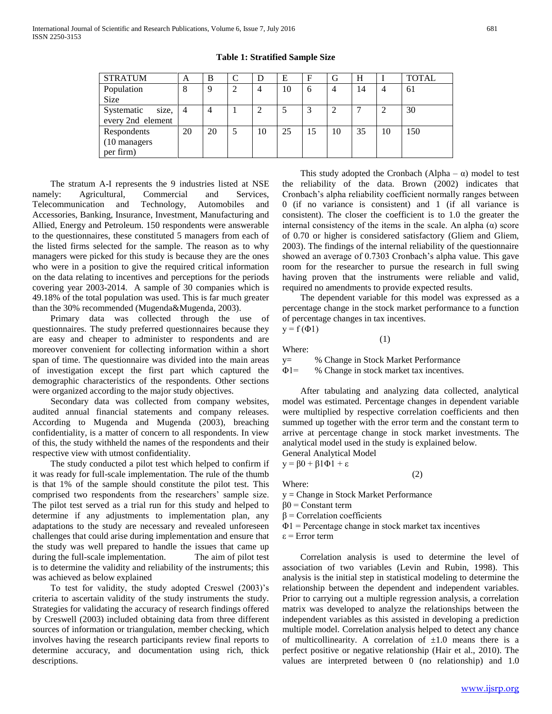| <b>STRATUM</b>    | A  | B        | $\mathcal{C}$ | D  | E  | F   | G              | H  |    | <b>TOTAL</b> |
|-------------------|----|----------|---------------|----|----|-----|----------------|----|----|--------------|
| Population        | 8  | $\Omega$ | 2             | 4  | 10 | 6   | $\overline{4}$ | 14 | 4  | 61           |
| <b>Size</b>       |    |          |               |    |    |     |                |    |    |              |
| Systematic size,  | 4  | 4        |               |    |    | 3   |                |    |    | 30           |
| every 2nd element |    |          |               |    |    |     |                |    |    |              |
| Respondents       | 20 | 20       | 5             | 10 | 25 | -15 | 10             | 35 | 10 | 150          |
| (10 managers)     |    |          |               |    |    |     |                |    |    |              |
| per firm)         |    |          |               |    |    |     |                |    |    |              |

**Table 1: Stratified Sample Size**

 The stratum A-I represents the 9 industries listed at NSE namely: Agricultural, Commercial and Services, Telecommunication and Technology, Automobiles and Accessories, Banking, Insurance, Investment, Manufacturing and Allied, Energy and Petroleum. 150 respondents were answerable to the questionnaires, these constituted 5 managers from each of the listed firms selected for the sample. The reason as to why managers were picked for this study is because they are the ones who were in a position to give the required critical information on the data relating to incentives and perceptions for the periods covering year 2003-2014. A sample of 30 companies which is 49.18% of the total population was used. This is far much greater than the 30% recommended (Mugenda&Mugenda, 2003).

 Primary data was collected through the use of questionnaires. The study preferred questionnaires because they are easy and cheaper to administer to respondents and are moreover convenient for collecting information within a short span of time. The questionnaire was divided into the main areas of investigation except the first part which captured the demographic characteristics of the respondents. Other sections were organized according to the major study objectives.

 Secondary data was collected from company websites, audited annual financial statements and company releases. According to Mugenda and Mugenda (2003), breaching confidentiality, is a matter of concern to all respondents. In view of this, the study withheld the names of the respondents and their respective view with utmost confidentiality.

 The study conducted a pilot test which helped to confirm if it was ready for full-scale implementation. The rule of the thumb is that 1% of the sample should constitute the pilot test. This comprised two respondents from the researchers' sample size. The pilot test served as a trial run for this study and helped to determine if any adjustments to implementation plan, any adaptations to the study are necessary and revealed unforeseen challenges that could arise during implementation and ensure that the study was well prepared to handle the issues that came up during the full-scale implementation. The aim of pilot test is to determine the validity and reliability of the instruments; this was achieved as below explained

 To test for validity, the study adopted Creswel (2003)'s criteria to ascertain validity of the study instruments the study. Strategies for validating the accuracy of research findings offered by Creswell (2003) included obtaining data from three different sources of information or triangulation, member checking, which involves having the research participants review final reports to determine accuracy, and documentation using rich, thick descriptions.

This study adopted the Cronbach (Alpha –  $\alpha$ ) model to test the reliability of the data. Brown (2002) indicates that Cronbach's alpha reliability coefficient normally ranges between 0 (if no variance is consistent) and 1 (if all variance is consistent). The closer the coefficient is to 1.0 the greater the internal consistency of the items in the scale. An alpha (α) score of 0.70 or higher is considered satisfactory (Gliem and Gliem, 2003). The findings of the internal reliability of the questionnaire showed an average of 0.7303 Cronbach's alpha value. This gave room for the researcher to pursue the research in full swing having proven that the instruments were reliable and valid, required no amendments to provide expected results.

 The dependent variable for this model was expressed as a percentage change in the stock market performance to a function of percentage changes in tax incentives.

 $y = f(\Phi 1)$ 

Where:

y= % Change in Stock Market Performance

Φ1= % Change in stock market tax incentives.

(1)

 After tabulating and analyzing data collected, analytical model was estimated. Percentage changes in dependent variable were multiplied by respective correlation coefficients and then summed up together with the error term and the constant term to arrive at percentage change in stock market investments. The analytical model used in the study is explained below.

(2)

General Analytical Model

 $y = \beta 0 + \beta 1 \Phi 1 + \varepsilon$ 

Where:

y = Change in Stock Market Performance

 $β0 =$  Constant term

 $β = Correlation coefficients$ 

 $\Phi$ 1 = Percentage change in stock market tax incentives

ε = Error term

 Correlation analysis is used to determine the level of association of two variables (Levin and Rubin, 1998). This analysis is the initial step in statistical modeling to determine the relationship between the dependent and independent variables. Prior to carrying out a multiple regression analysis, a correlation matrix was developed to analyze the relationships between the independent variables as this assisted in developing a prediction multiple model. Correlation analysis helped to detect any chance of multicollinearity. A correlation of  $\pm 1.0$  means there is a perfect positive or negative relationship (Hair et al., 2010). The values are interpreted between 0 (no relationship) and 1.0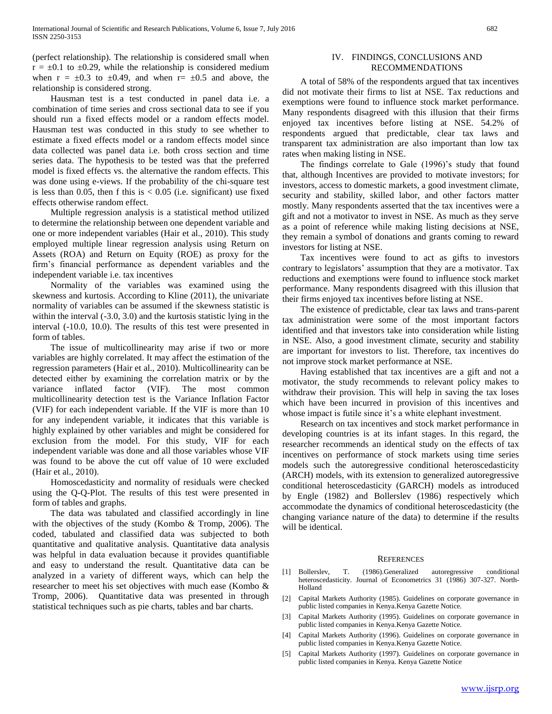(perfect relationship). The relationship is considered small when  $r = \pm 0.1$  to  $\pm 0.29$ , while the relationship is considered medium when  $r = \pm 0.3$  to  $\pm 0.49$ , and when  $r = \pm 0.5$  and above, the relationship is considered strong.

 Hausman test is a test conducted in panel data i.e. a combination of time series and cross sectional data to see if you should run a fixed effects model or a random effects model. Hausman test was conducted in this study to see whether to estimate a fixed effects model or a random effects model since data collected was panel data i.e. both cross section and time series data. The hypothesis to be tested was that the preferred model is fixed effects vs. the alternative the random effects. This was done using e-views. If the probability of the chi-square test is less than 0.05, then f this is  $< 0.05$  (i.e. significant) use fixed effects otherwise random effect.

 Multiple regression analysis is a statistical method utilized to determine the relationship between one dependent variable and one or more independent variables (Hair et al., 2010). This study employed multiple linear regression analysis using Return on Assets (ROA) and Return on Equity (ROE) as proxy for the firm's financial performance as dependent variables and the independent variable i.e. tax incentives

 Normality of the variables was examined using the skewness and kurtosis. According to Kline (2011), the univariate normality of variables can be assumed if the skewness statistic is within the interval (-3.0, 3.0) and the kurtosis statistic lying in the interval (-10.0, 10.0). The results of this test were presented in form of tables.

 The issue of multicollinearity may arise if two or more variables are highly correlated. It may affect the estimation of the regression parameters (Hair et al., 2010). Multicollinearity can be detected either by examining the correlation matrix or by the variance inflated factor (VIF). The most common multicollinearity detection test is the Variance Inflation Factor (VIF) for each independent variable. If the VIF is more than 10 for any independent variable, it indicates that this variable is highly explained by other variables and might be considered for exclusion from the model. For this study, VIF for each independent variable was done and all those variables whose VIF was found to be above the cut off value of 10 were excluded (Hair et al., 2010).

 Homoscedasticity and normality of residuals were checked using the Q-Q-Plot. The results of this test were presented in form of tables and graphs.

 The data was tabulated and classified accordingly in line with the objectives of the study (Kombo & Tromp, 2006). The coded, tabulated and classified data was subjected to both quantitative and qualitative analysis. Quantitative data analysis was helpful in data evaluation because it provides quantifiable and easy to understand the result. Quantitative data can be analyzed in a variety of different ways, which can help the researcher to meet his set objectives with much ease (Kombo & Tromp, 2006). Quantitative data was presented in through statistical techniques such as pie charts, tables and bar charts.

#### IV. FINDINGS, CONCLUSIONS AND RECOMMENDATIONS

 A total of 58% of the respondents argued that tax incentives did not motivate their firms to list at NSE. Tax reductions and exemptions were found to influence stock market performance. Many respondents disagreed with this illusion that their firms enjoyed tax incentives before listing at NSE. 54.2% of respondents argued that predictable, clear tax laws and transparent tax administration are also important than low tax rates when making listing in NSE.

 The findings correlate to Gale (1996)'s study that found that, although Incentives are provided to motivate investors; for investors, access to domestic markets, a good investment climate, security and stability, skilled labor, and other factors matter mostly. Many respondents asserted that the tax incentives were a gift and not a motivator to invest in NSE. As much as they serve as a point of reference while making listing decisions at NSE, they remain a symbol of donations and grants coming to reward investors for listing at NSE.

 Tax incentives were found to act as gifts to investors contrary to legislators' assumption that they are a motivator. Tax reductions and exemptions were found to influence stock market performance. Many respondents disagreed with this illusion that their firms enjoyed tax incentives before listing at NSE.

 The existence of predictable, clear tax laws and trans-parent tax administration were some of the most important factors identified and that investors take into consideration while listing in NSE. Also, a good investment climate, security and stability are important for investors to list. Therefore, tax incentives do not improve stock market performance at NSE.

 Having established that tax incentives are a gift and not a motivator, the study recommends to relevant policy makes to withdraw their provision. This will help in saving the tax loses which have been incurred in provision of this incentives and whose impact is futile since it's a white elephant investment.

 Research on tax incentives and stock market performance in developing countries is at its infant stages. In this regard, the researcher recommends an identical study on the effects of tax incentives on performance of stock markets using time series models such the autoregressive conditional heteroscedasticity (ARCH) models, with its extension to generalized autoregressive conditional heteroscedasticity (GARCH) models as introduced by Engle (1982) and Bollerslev (1986) respectively which accommodate the dynamics of conditional heteroscedasticity (the changing variance nature of the data) to determine if the results will be identical.

#### **REFERENCES**

- [1] Bollerslev, T. (1986).Generalized autoregressive conditional heteroscedasticity. Journal of Econometrics 31 (1986) 307-327. North-Holland
- [2] Capital Markets Authority (1985). Guidelines on corporate governance in public listed companies in Kenya.Kenya Gazette Notice.
- [3] Capital Markets Authority (1995). Guidelines on corporate governance in public listed companies in Kenya.Kenya Gazette Notice.
- [4] Capital Markets Authority (1996). Guidelines on corporate governance in public listed companies in Kenya.Kenya Gazette Notice.
- [5] Capital Markets Authority (1997). Guidelines on corporate governance in public listed companies in Kenya. Kenya Gazette Notice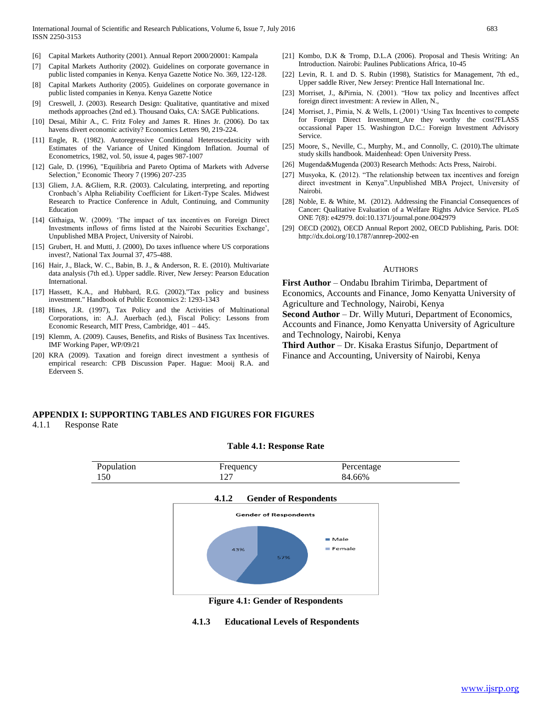- [6] Capital Markets Authority (2001). Annual Report 2000/20001: Kampala
- [7] Capital Markets Authority (2002). Guidelines on corporate governance in public listed companies in Kenya. Kenya Gazette Notice No. 369, 122-128.
- [8] Capital Markets Authority (2005). Guidelines on corporate governance in public listed companies in Kenya. Kenya Gazette Notice
- [9] Creswell, J. (2003). Research Design: Qualitative, quantitative and mixed methods approaches (2nd ed.). Thousand Oaks, CA: SAGE Publications.
- [10] Desai, Mihir A., C. Fritz Foley and James R. Hines Jr. (2006). Do tax havens divert economic activity? Economics Letters 90, 219-224.
- [11] Engle, R. (1982). Autoregressive Conditional Heteroscedasticity with Estimates of the Variance of United Kingdom Inflation. Journal of Econometrics, 1982, vol. 50, issue 4, pages 987-1007
- [12] Gale, D. (1996), "Equilibria and Pareto Optima of Markets with Adverse Selection," Economic Theory 7 (1996) 207-235
- [13] Gliem, J.A. &Gliem, R.R. (2003). Calculating, interpreting, and reporting Cronbach's Alpha Reliability Coefficient for Likert-Type Scales. Midwest Research to Practice Conference in Adult, Continuing, and Community Education
- [14] Githaiga, W. (2009). 'The impact of tax incentives on Foreign Direct Investments inflows of firms listed at the Nairobi Securities Exchange', Unpublished MBA Project, University of Nairobi.
- [15] Grubert, H. and Mutti, J. (2000), Do taxes influence where US corporations invest?, National Tax Journal 37, 475-488.
- [16] Hair, J., Black, W. C., Babin, B. J., & Anderson, R. E. (2010). Multivariate data analysis (7th ed.). Upper saddle. River, New Jersey: Pearson Education International.
- [17] Hassett, K.A., and Hubbard, R.G. (2002)."Tax policy and business investment." Handbook of Public Economics 2: 1293-1343
- [18] Hines, J.R. (1997), Tax Policy and the Activities of Multinational Corporations, in: A.J. Auerbach (ed.), Fiscal Policy: Lessons from Economic Research, MIT Press, Cambridge, 401 – 445.
- [19] Klemm, A. (2009). Causes, Benefits, and Risks of Business Tax Incentives. IMF Working Paper, WP/09/21
- [20] KRA (2009). Taxation and foreign direct investment a synthesis of empirical research: CPB Discussion Paper. Hague: Mooij R.A. and Ederveen S.
- [21] Kombo, D.K & Tromp, D.L.A (2006). Proposal and Thesis Writing: An Introduction. Nairobi: Paulines Publications Africa, 10-45
- [22] Levin, R. I. and D. S. Rubin (1998), Statistics for Management, 7th ed., Upper saddle River, New Jersey: Prentice Hall International Inc.
- [23] Morriset, J., &Pirnia, N. (2001). "How tax policy and Incentives affect foreign direct investment: A review in Allen, N.,
- [24] Morriset, J., Pirnia, N. & Wells, L (2001) 'Using Tax Incentives to compete for Foreign Direct Investment\_Are they worthy the cost?FLASS occassional Paper 15. Washington D.C.: Foreign Investment Advisory Service.
- [25] Moore, S., Neville, C., Murphy, M., and Connolly, C. (2010). The ultimate study skills handbook. Maidenhead: Open University Press.
- [26] Mugenda&Mugenda (2003) Research Methods: Acts Press, Nairobi.
- [27] Musyoka, K. (2012). "The relationship between tax incentives and foreign direct investment in Kenya".Unpublished MBA Project, University of Nairobi.
- [28] Noble, E. & White, M. (2012). Addressing the Financial Consequences of Cancer: Qualitative Evaluation of a Welfare Rights Advice Service. PLoS ONE 7(8): e42979. doi:10.1371/journal.pone.0042979
- [29] OECD (2002), OECD Annual Report 2002, OECD Publishing, Paris. DOI: http://dx.doi.org/10.1787/annrep-2002-en

#### **AUTHORS**

**First Author** – Ondabu Ibrahim Tirimba, Department of Economics, Accounts and Finance, Jomo Kenyatta University of Agriculture and Technology, Nairobi, Kenya

**Second Author** – Dr. Willy Muturi, Department of Economics, Accounts and Finance, Jomo Kenyatta University of Agriculture and Technology, Nairobi, Kenya

**Third Author** – Dr. Kisaka Erastus Sifunjo, Department of Finance and Accounting, University of Nairobi, Kenya

#### **APPENDIX I: SUPPORTING TABLES AND FIGURES FOR FIGURES**

4.1.1 Response Rate

#### **Table 4.1: Response Rate**



#### **4.1.2 Gender of Respondents**



**Figure 4.1: Gender of Respondents**

#### **4.1.3 Educational Levels of Respondents**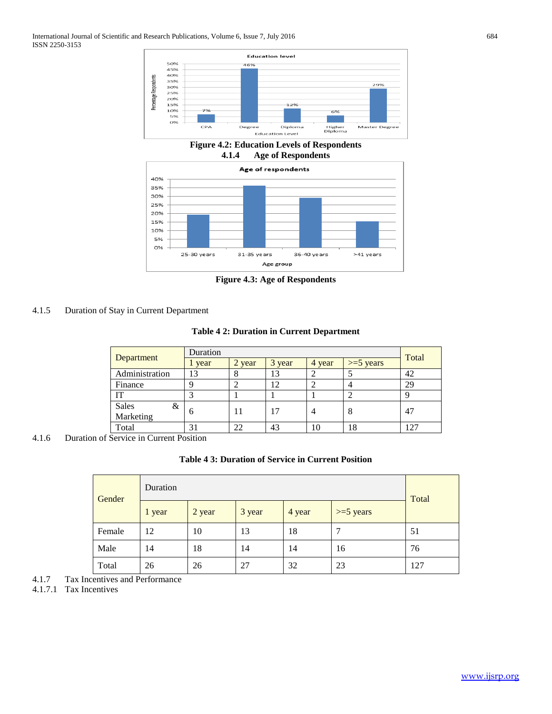

**Figure 4.2: Education Levels of Respondents 4.1.4 Age of Respondents**



**Figure 4.3: Age of Respondents**

# 4.1.5 Duration of Stay in Current Department

## **Table 4 2: Duration in Current Department**

|                | Duration | Total  |        |        |              |     |
|----------------|----------|--------|--------|--------|--------------|-----|
| Department     | l year   | 2 year | 3 year | 4 year | $>= 5$ years |     |
| Administration | 13       |        | 13     |        |              | 42  |
| Finance        |          |        | 12     |        |              | 29  |
| IТ             |          |        |        |        |              |     |
| Sales<br>&     |          | 11     | 17     |        | 8            | 47  |
| Marketing      | 6        |        |        |        |              |     |
| Total          | 31       | 22     | 43     | 10     | 18           | 127 |

4.1.6 Duration of Service in Current Position

## **Table 4 3: Duration of Service in Current Position**

| Gender | Duration |        |        |        |             |       |  |
|--------|----------|--------|--------|--------|-------------|-------|--|
|        | 1 year   | 2 year | 3 year | 4 year | $>=5$ years | Total |  |
| Female | 12       | 10     | 13     | 18     | 7           | 51    |  |
| Male   | 14       | 18     | 14     | 14     | 16          | 76    |  |
| Total  | 26       | 26     | 27     | 32     | 23          | 127   |  |

4.1.7 Tax Incentives and Performance

4.1.7.1 Tax Incentives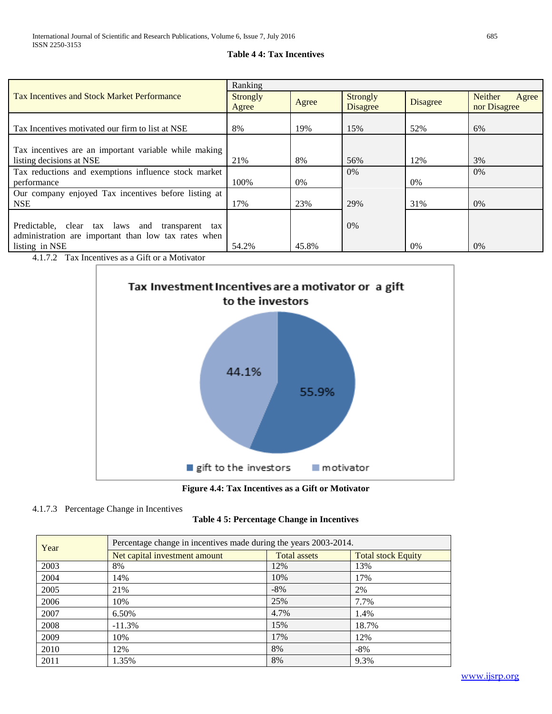# **Table 4 4: Tax Incentives**

| Ranking         |       |                 |       |                         |  |
|-----------------|-------|-----------------|-------|-------------------------|--|
| <b>Strongly</b> |       | <b>Strongly</b> |       | <b>Neither</b><br>Agree |  |
| Agree           |       | <b>Disagree</b> |       | nor Disagree            |  |
|                 |       |                 |       |                         |  |
| 8%              | 19%   | 15%             | 52%   | 6%                      |  |
|                 |       |                 |       |                         |  |
|                 |       |                 |       |                         |  |
| 21%             | 8%    | 56%             | 12%   | 3%                      |  |
|                 |       | $0\%$           |       | $0\%$                   |  |
| 100\%           | $0\%$ |                 | $0\%$ |                         |  |
|                 |       |                 |       |                         |  |
| 17%             | 23%   | 29%             | 31%   | 0%                      |  |
|                 |       |                 |       |                         |  |
|                 |       | $0\%$           |       |                         |  |
|                 |       |                 |       |                         |  |
| 54.2%           | 45.8% |                 | $0\%$ | $0\%$                   |  |
|                 |       | Agree           |       | <b>Disagree</b>         |  |

4.1.7.2 Tax Incentives as a Gift or a Motivator



**Figure 4.4: Tax Incentives as a Gift or Motivator**

# 4.1.7.3 Percentage Change in Incentives

|  |  | Table 4 5: Percentage Change in Incentives |  |  |  |
|--|--|--------------------------------------------|--|--|--|
|--|--|--------------------------------------------|--|--|--|

| Year | Percentage change in incentives made during the years 2003-2014. |                     |                           |  |  |  |  |  |
|------|------------------------------------------------------------------|---------------------|---------------------------|--|--|--|--|--|
|      | Net capital investment amount                                    | <b>Total assets</b> | <b>Total stock Equity</b> |  |  |  |  |  |
| 2003 | 8%                                                               | 12%                 | 13%                       |  |  |  |  |  |
| 2004 | 14%                                                              | 10%                 | 17%                       |  |  |  |  |  |
| 2005 | 21%                                                              | $-8\%$              | 2%                        |  |  |  |  |  |
| 2006 | 10%                                                              | 25%                 | 7.7%                      |  |  |  |  |  |
| 2007 | 6.50%                                                            | 4.7%                | 1.4%                      |  |  |  |  |  |
| 2008 | $-11.3%$                                                         | 15%                 | 18.7%                     |  |  |  |  |  |
| 2009 | 10%                                                              | 17%                 | 12%                       |  |  |  |  |  |
| 2010 | 12%                                                              | 8%                  | $-8\%$                    |  |  |  |  |  |
| 2011 | 1.35%                                                            | 8%                  | 9.3%                      |  |  |  |  |  |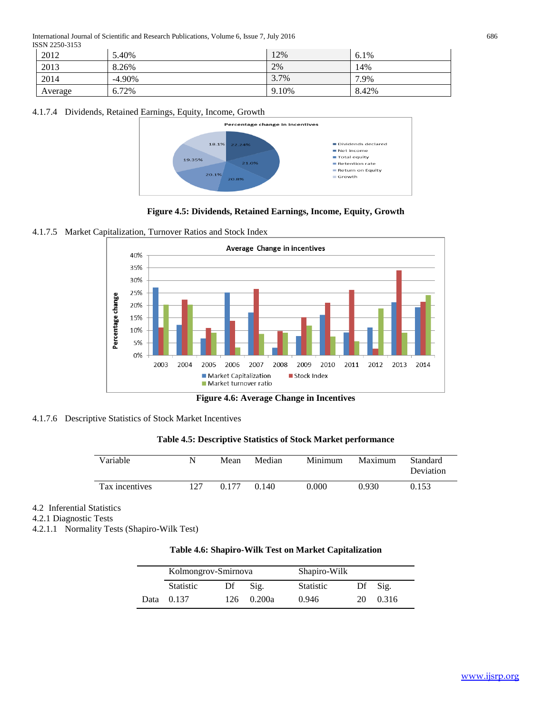International Journal of Scientific and Research Publications, Volume 6, Issue 7, July 2016 686 ISSN 2250-3153

| 2012    | 5.40%     | 12%   | 6.1%  |
|---------|-----------|-------|-------|
| 2013    | 8.26%     | 2%    | 14%   |
| 2014    | $-4.90\%$ | 3.7%  | 7.9%  |
| Average | 6.72%     | 9.10% | 8.42% |

## 4.1.7.4 Dividends, Retained Earnings, Equity, Income, Growth



**Figure 4.5: Dividends, Retained Earnings, Income, Equity, Growth**

## 4.1.7.5 Market Capitalization, Turnover Ratios and Stock Index



**Figure 4.6: Average Change in Incentives**

## 4.1.7.6 Descriptive Statistics of Stock Market Incentives

**Table 4.5: Descriptive Statistics of Stock Market performance**

| Variable       |     | Mean  | Median | Minimum | Maximum | Standard<br>Deviation |
|----------------|-----|-------|--------|---------|---------|-----------------------|
| Tax incentives | 127 | 0.177 | 0.140  | 2.000   | 0.930   | 0.153                 |

# 4.2 Inferential Statistics

4.2.1 Diagnostic Tests

4.2.1.1 Normality Tests (Shapiro-Wilk Test)

## **Table 4.6: Shapiro-Wilk Test on Market Capitalization**

| Kolmongrov-Smirnova |    |            | Shapiro-Wilk     |    |                     |
|---------------------|----|------------|------------------|----|---------------------|
| <b>Statistic</b>    | Df | Sig.       | <b>Statistic</b> |    | $\mathbf{D}$ f Sig. |
| Data 0.137          |    | 126 0.200a | 0.946            | 20 | 0.316               |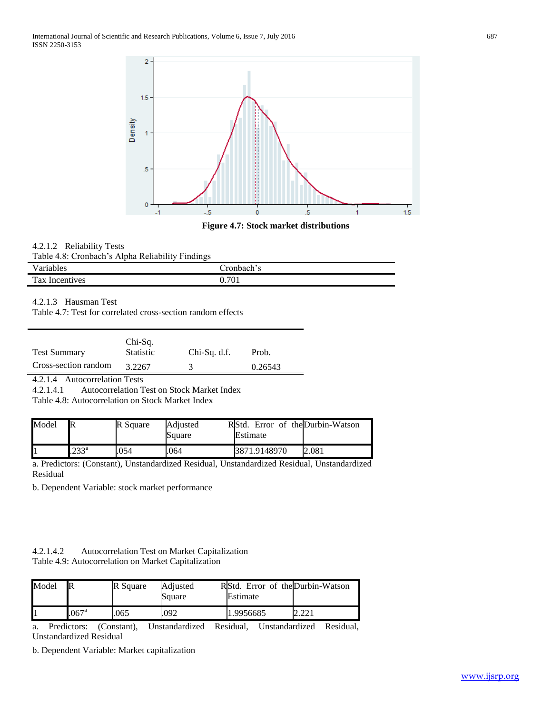

## **Figure 4.7: Stock market distributions**

## 4.2.1.2 Reliability Tests

| TT.<br>Variables  | ronbach: |
|-------------------|----------|
| Tax<br>Incentives | 701      |

#### 4.2.1.3 Hausman Test

Table 4.7: Test for correlated cross-section random effects

| <b>Test Summary</b>  | Chi-Sq.<br><b>Statistic</b> | $Chi-Sq. d.f.$ | Prob.   |
|----------------------|-----------------------------|----------------|---------|
| Cross-section random | 3.2267                      |                | 0.26543 |
|                      |                             |                |         |

4.2.1.4 Autocorrelation Tests

4.2.1.4.1 Autocorrelation Test on Stock Market Index

Table 4.8: Autocorrelation on Stock Market Index

| Model |               | R Square | Adjusted<br>Square | RStd. Error of theDurbin-Watson<br>Estimate |       |
|-------|---------------|----------|--------------------|---------------------------------------------|-------|
|       | $233^{\rm a}$ | .054     | .064               | 3871.9148970                                | 2.081 |

a. Predictors: (Constant), Unstandardized Residual, Unstandardized Residual, Unstandardized Residual

b. Dependent Variable: stock market performance

| 4.2.1.4.2 | Autocorrelation Test on Market Capitalization       |  |
|-----------|-----------------------------------------------------|--|
|           | Table 4.9: Autocorrelation on Market Capitalization |  |

| Model |               | R Square | Adiusted<br>Square | RStd. Error of the Durbin-Watson<br>Estimate |  |
|-------|---------------|----------|--------------------|----------------------------------------------|--|
|       | $067^{\circ}$ | 065      | 092                | 1.9956685                                    |  |

a. Predictors: (Constant), Unstandardized Residual, Unstandardized Residual, Unstandardized Residual

b. Dependent Variable: Market capitalization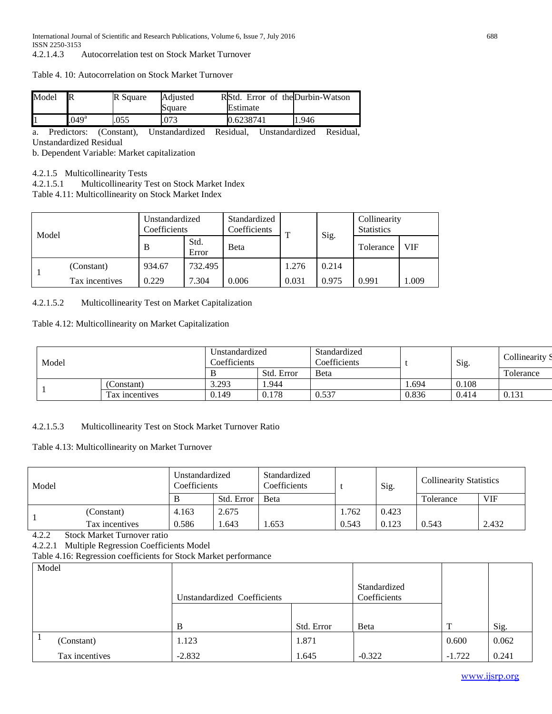#### Table 4. 10: Autocorrelation on Stock Market Turnover

| Model | R                     | R Square | Adiusted<br>Square | RStd. Error of the Durbin-Watson<br>Estimate |      |
|-------|-----------------------|----------|--------------------|----------------------------------------------|------|
|       | $(0.49)$ <sup>a</sup> | .055     | .073               | 0.6238741                                    | .946 |

a. Predictors: (Constant), Unstandardized Residual, Unstandardized Residual, Unstandardized Residual

b. Dependent Variable: Market capitalization

4.2.1.5 Multicollinearity Tests

4.2.1.5.1 Multicollinearity Test on Stock Market Index

Table 4.11: Multicollinearity on Stock Market Index

| Model |                | Unstandardized<br>Coefficients |               | Standardized<br>Coefficients | $\mathbf{r}$ | Sig.  | Collinearity<br><b>Statistics</b> |       |
|-------|----------------|--------------------------------|---------------|------------------------------|--------------|-------|-----------------------------------|-------|
|       |                | B                              | Std.<br>Error | <b>B</b> eta                 |              |       | Tolerance                         | VIF   |
|       | (Constant)     | 934.67                         | 732.495       |                              | 1.276        | 0.214 |                                   |       |
|       | Tax incentives | 0.229                          | 7.304         | 0.006                        | 0.031        | 0.975 | 0.991                             | 1.009 |

## 4.2.1.5.2 Multicollinearity Test on Market Capitalization

#### Table 4.12: Multicollinearity on Market Capitalization

| Model |                | Unstandardized<br>Coefficients |            | Standardized<br>Coefficients |       | Sig.  | Collinearity S |
|-------|----------------|--------------------------------|------------|------------------------------|-------|-------|----------------|
|       |                |                                | Std. Error | <b>B</b> eta                 |       |       | Tolerance      |
|       | Constant)      | 3.293                          | 1.944      |                              | .694  | 0.108 |                |
|       | Tax incentives | 0.149                          | 0.178      | 0.537                        | 0.836 | 0.414 | 0.131          |

## 4.2.1.5.3 Multicollinearity Test on Stock Market Turnover Ratio

## Table 4.13: Multicollinearity on Market Turnover

| Model |                | Unstandardized<br>Coefficients |            | Standardized<br>Coefficients |       | Sig.  | <b>Collinearity Statistics</b> |            |
|-------|----------------|--------------------------------|------------|------------------------------|-------|-------|--------------------------------|------------|
|       |                | В                              | Std. Error | <b>B</b> eta                 |       |       | Tolerance                      | <b>VIF</b> |
|       | (Constant)     | 4.163                          | 2.675      |                              | 1.762 | 0.423 |                                |            |
|       | Tax incentives | 0.586                          | . 643      | .653                         | 0.543 | 0.123 | 0.543                          | 2.432      |

4.2.2 Stock Market Turnover ratio

4.2.2.1 Multiple Regression Coefficients Model

Table 4.16: Regression coefficients for Stock Market performance

| ຼ<br>Model     |                             |            |                              |          |       |
|----------------|-----------------------------|------------|------------------------------|----------|-------|
|                | Unstandardized Coefficients |            | Standardized<br>Coefficients |          |       |
|                | B                           | Std. Error | <b>B</b> eta                 | T        | Sig.  |
| (Constant)     | 1.123                       | 1.871      |                              | 0.600    | 0.062 |
| Tax incentives | $-2.832$                    | 1.645      | $-0.322$                     | $-1.722$ | 0.241 |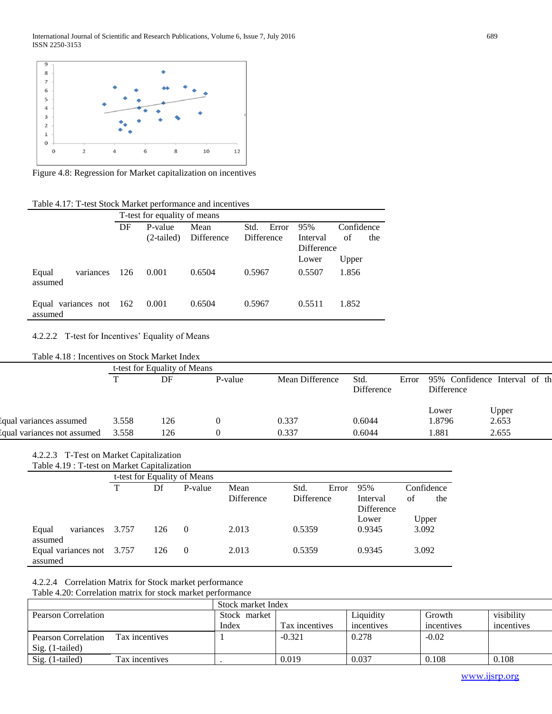

Figure 4.8: Regression for Market capitalization on incentives

|                                    | Table 4.17. T-test Stock Market performance and incentives |       |                              |            |               |            |            |  |  |  |  |  |
|------------------------------------|------------------------------------------------------------|-------|------------------------------|------------|---------------|------------|------------|--|--|--|--|--|
|                                    |                                                            |       | T-test for equality of means |            |               |            |            |  |  |  |  |  |
|                                    |                                                            | DF    | P-value                      | Mean       | Std.<br>Error | 95%        | Confidence |  |  |  |  |  |
|                                    |                                                            |       | $(2-tailed)$                 | Difference | Difference    | Interval   | of<br>the  |  |  |  |  |  |
|                                    |                                                            |       |                              |            |               | Difference |            |  |  |  |  |  |
|                                    |                                                            |       |                              |            |               | Lower      | Upper      |  |  |  |  |  |
| Equal<br>assumed                   | variances                                                  | - 126 | 0.001                        | 0.6504     | 0.5967        | 0.5507     | 1.856      |  |  |  |  |  |
| Equal variances not 162<br>assumed |                                                            |       | 0.001                        | 0.6504     | 0.5967        | 0.5511     | 1.852      |  |  |  |  |  |

Table 4.17: T-test Stock Market performance and incentives

#### 4.2.2.2 T-test for Incentives' Equality of Means

Table 4.18 : Incentives on Stock Market Index

|                             |       | t-test for Equality of Means |         |                 |                           |       |                                                     |       |  |  |
|-----------------------------|-------|------------------------------|---------|-----------------|---------------------------|-------|-----------------------------------------------------|-------|--|--|
|                             |       | DF                           | P-value | Mean Difference | Std.<br><b>Difference</b> | Error | 95% Confidence Interval of the<br><b>Difference</b> |       |  |  |
|                             |       |                              |         |                 |                           |       | Lower                                               | Upper |  |  |
| Equal variances assumed     | 3.558 | 126                          |         | 0.337           | 0.6044                    |       | 1.8796                                              | 2.653 |  |  |
| equal variances not assumed | 3.558 | l 26                         |         | 0.337           | 0.6044                    |       | . 881                                               | 2.655 |  |  |

# 4.2.2.3 T-Test on Market Capitalization

Table 4.19 : T-test on Market Capitalization

|                           |       | t-test for Equality of Means |          |            |                   |       |                   |       |            |  |
|---------------------------|-------|------------------------------|----------|------------|-------------------|-------|-------------------|-------|------------|--|
|                           | ᠇᠇    | Df                           | P-value  | Mean       | Std.              | Error | 95%               |       | Confidence |  |
|                           |       |                              |          | Difference | <b>Difference</b> |       | Interval          | of    | the        |  |
|                           |       |                              |          |            |                   |       | <b>Difference</b> |       |            |  |
|                           |       |                              |          |            |                   |       | Lower             |       | Upper      |  |
| variances<br>Equal        | 3.757 | 126                          | $\Omega$ | 2.013      | 0.5359            |       | 0.9345            | 3.092 |            |  |
| assumed                   |       |                              |          |            |                   |       |                   |       |            |  |
| Equal variances not 3.757 |       | 126                          | $\Omega$ | 2.013      | 0.5359            |       | 0.9345            | 3.092 |            |  |
| assumed                   |       |                              |          |            |                   |       |                   |       |            |  |

4.2.2.4 Correlation Matrix for Stock market performance

Table 4.20: Correlation matrix for stock market performance

|                                        |                | Stock market Index |                |            |            |            |  |  |  |
|----------------------------------------|----------------|--------------------|----------------|------------|------------|------------|--|--|--|
| Pearson Correlation                    |                | Stock market       |                | Liquidity  | Growth     | visibility |  |  |  |
|                                        |                | Index              | Tax incentives | incentives | incentives | incentives |  |  |  |
| Pearson Correlation<br>Sig. (1-tailed) | Tax incentives |                    | $-0.321$       | 0.278      | $-0.02$    |            |  |  |  |
| Sig. (1-tailed)                        | Tax incentives |                    | 0.019          | 0.037      | 0.108      | 0.108      |  |  |  |